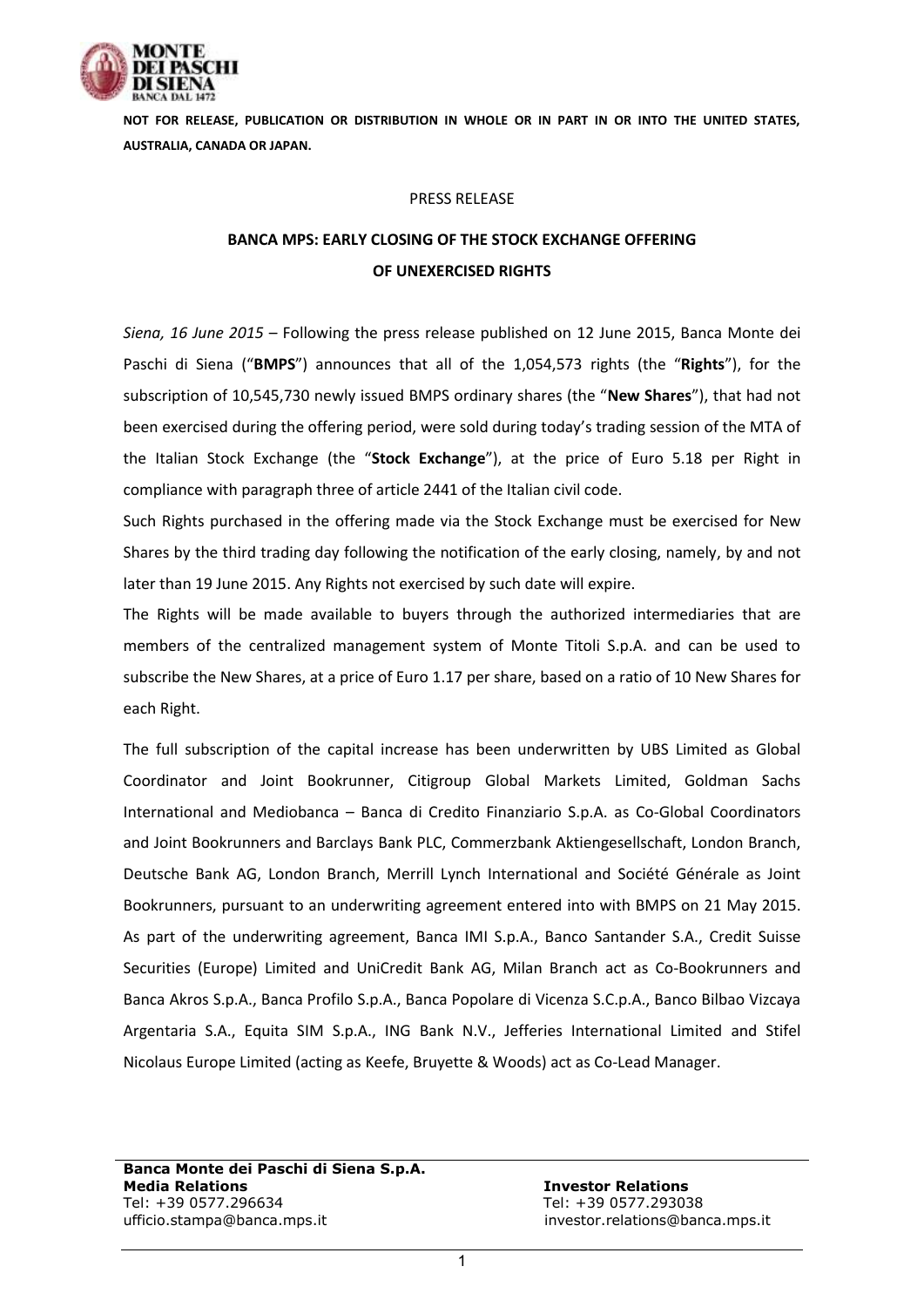

**NOT FOR RELEASE, PUBLICATION OR DISTRIBUTION IN WHOLE OR IN PART IN OR INTO THE UNITED STATES, AUSTRALIA, CANADA OR JAPAN.**

## PRESS RELEASE

## **BANCA MPS: EARLY CLOSING OF THE STOCK EXCHANGE OFFERING OF UNEXERCISED RIGHTS**

*Siena, 16 June 2015* – Following the press release published on 12 June 2015, Banca Monte dei Paschi di Siena ("**BMPS**") announces that all of the 1,054,573 rights (the "**Rights**"), for the subscription of 10,545,730 newly issued BMPS ordinary shares (the "**New Shares**"), that had not been exercised during the offering period, were sold during today's trading session of the MTA of the Italian Stock Exchange (the "**Stock Exchange**"), at the price of Euro 5.18 per Right in compliance with paragraph three of article 2441 of the Italian civil code.

Such Rights purchased in the offering made via the Stock Exchange must be exercised for New Shares by the third trading day following the notification of the early closing, namely, by and not later than 19 June 2015. Any Rights not exercised by such date will expire.

The Rights will be made available to buyers through the authorized intermediaries that are members of the centralized management system of Monte Titoli S.p.A. and can be used to subscribe the New Shares, at a price of Euro 1.17 per share, based on a ratio of 10 New Shares for each Right.

The full subscription of the capital increase has been underwritten by UBS Limited as Global Coordinator and Joint Bookrunner, Citigroup Global Markets Limited, Goldman Sachs International and Mediobanca – Banca di Credito Finanziario S.p.A. as Co-Global Coordinators and Joint Bookrunners and Barclays Bank PLC, Commerzbank Aktiengesellschaft, London Branch, Deutsche Bank AG, London Branch, Merrill Lynch International and Société Générale as Joint Bookrunners, pursuant to an underwriting agreement entered into with BMPS on 21 May 2015. As part of the underwriting agreement, Banca IMI S.p.A., Banco Santander S.A., Credit Suisse Securities (Europe) Limited and UniCredit Bank AG, Milan Branch act as Co-Bookrunners and Banca Akros S.p.A., Banca Profilo S.p.A., Banca Popolare di Vicenza S.C.p.A., Banco Bilbao Vizcaya Argentaria S.A., Equita SIM S.p.A., ING Bank N.V., Jefferies International Limited and Stifel Nicolaus Europe Limited (acting as Keefe, Bruyette & Woods) act as Co-Lead Manager.

**Banca Monte dei Paschi di Siena S.p.A. Media Relations Investor Relations** Tel: +39 0577.296634 Tel: +39 0577.293038 ufficio.stampa@banca.mps.it investor.relations@banca.mps.it